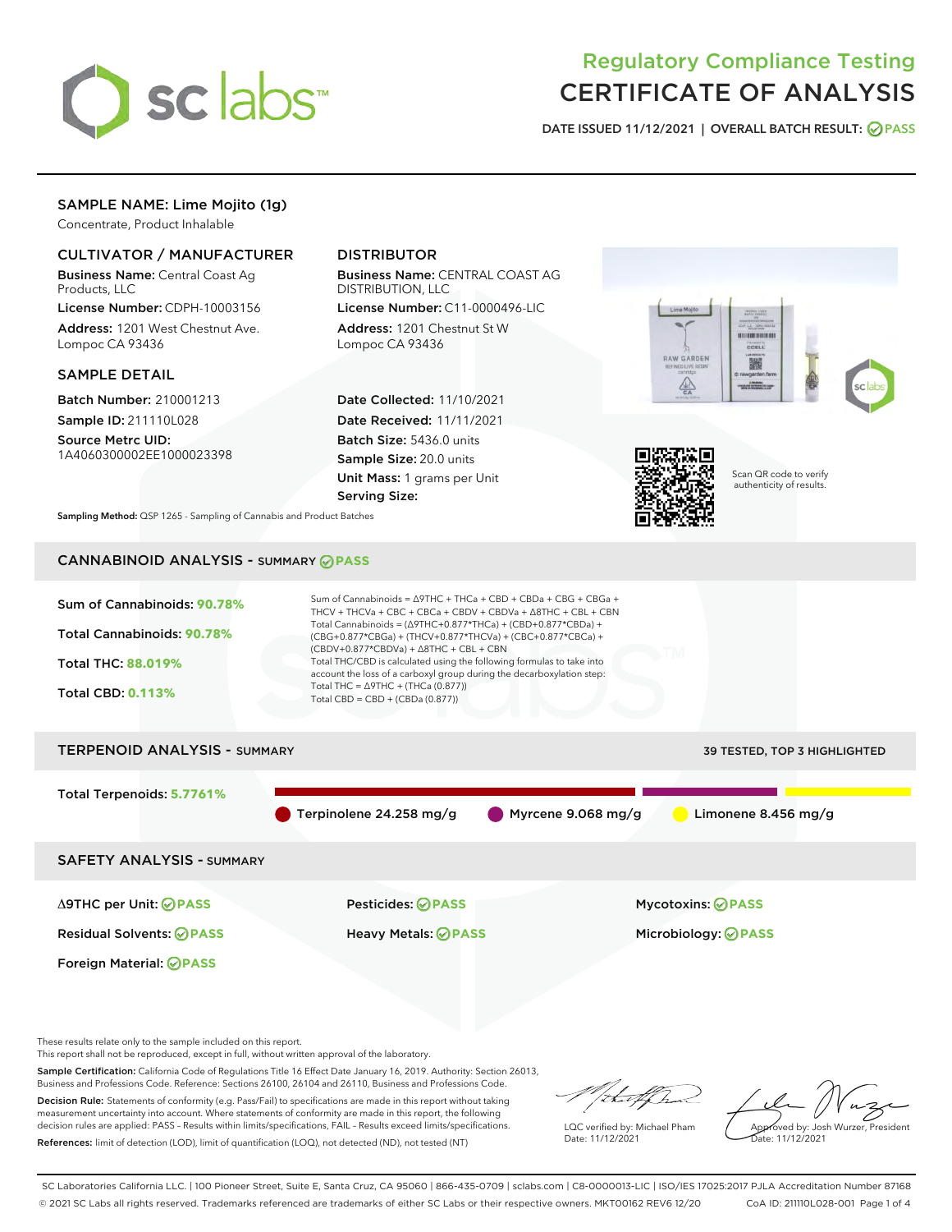

# Regulatory Compliance Testing CERTIFICATE OF ANALYSIS

DATE ISSUED 11/12/2021 | OVERALL BATCH RESULT: @ PASS

# SAMPLE NAME: Lime Mojito (1g)

Concentrate, Product Inhalable

# CULTIVATOR / MANUFACTURER

Business Name: Central Coast Ag Products, LLC

License Number: CDPH-10003156 Address: 1201 West Chestnut Ave. Lompoc CA 93436

### SAMPLE DETAIL

Batch Number: 210001213 Sample ID: 211110L028

Source Metrc UID: 1A4060300002EE1000023398

# DISTRIBUTOR

Business Name: CENTRAL COAST AG DISTRIBUTION, LLC

License Number: C11-0000496-LIC Address: 1201 Chestnut St W Lompoc CA 93436

Date Collected: 11/10/2021 Date Received: 11/11/2021 Batch Size: 5436.0 units Sample Size: 20.0 units Unit Mass: 1 grams per Unit Serving Size:





Scan QR code to verify authenticity of results.

Sampling Method: QSP 1265 - Sampling of Cannabis and Product Batches

# CANNABINOID ANALYSIS - SUMMARY **PASS**



These results relate only to the sample included on this report.

This report shall not be reproduced, except in full, without written approval of the laboratory.

Sample Certification: California Code of Regulations Title 16 Effect Date January 16, 2019. Authority: Section 26013, Business and Professions Code. Reference: Sections 26100, 26104 and 26110, Business and Professions Code.

Decision Rule: Statements of conformity (e.g. Pass/Fail) to specifications are made in this report without taking measurement uncertainty into account. Where statements of conformity are made in this report, the following decision rules are applied: PASS – Results within limits/specifications, FAIL – Results exceed limits/specifications. References: limit of detection (LOD), limit of quantification (LOQ), not detected (ND), not tested (NT)

that f(ha

LQC verified by: Michael Pham Date: 11/12/2021

Approved by: Josh Wurzer, President ate: 11/12/2021

SC Laboratories California LLC. | 100 Pioneer Street, Suite E, Santa Cruz, CA 95060 | 866-435-0709 | sclabs.com | C8-0000013-LIC | ISO/IES 17025:2017 PJLA Accreditation Number 87168 © 2021 SC Labs all rights reserved. Trademarks referenced are trademarks of either SC Labs or their respective owners. MKT00162 REV6 12/20 CoA ID: 211110L028-001 Page 1 of 4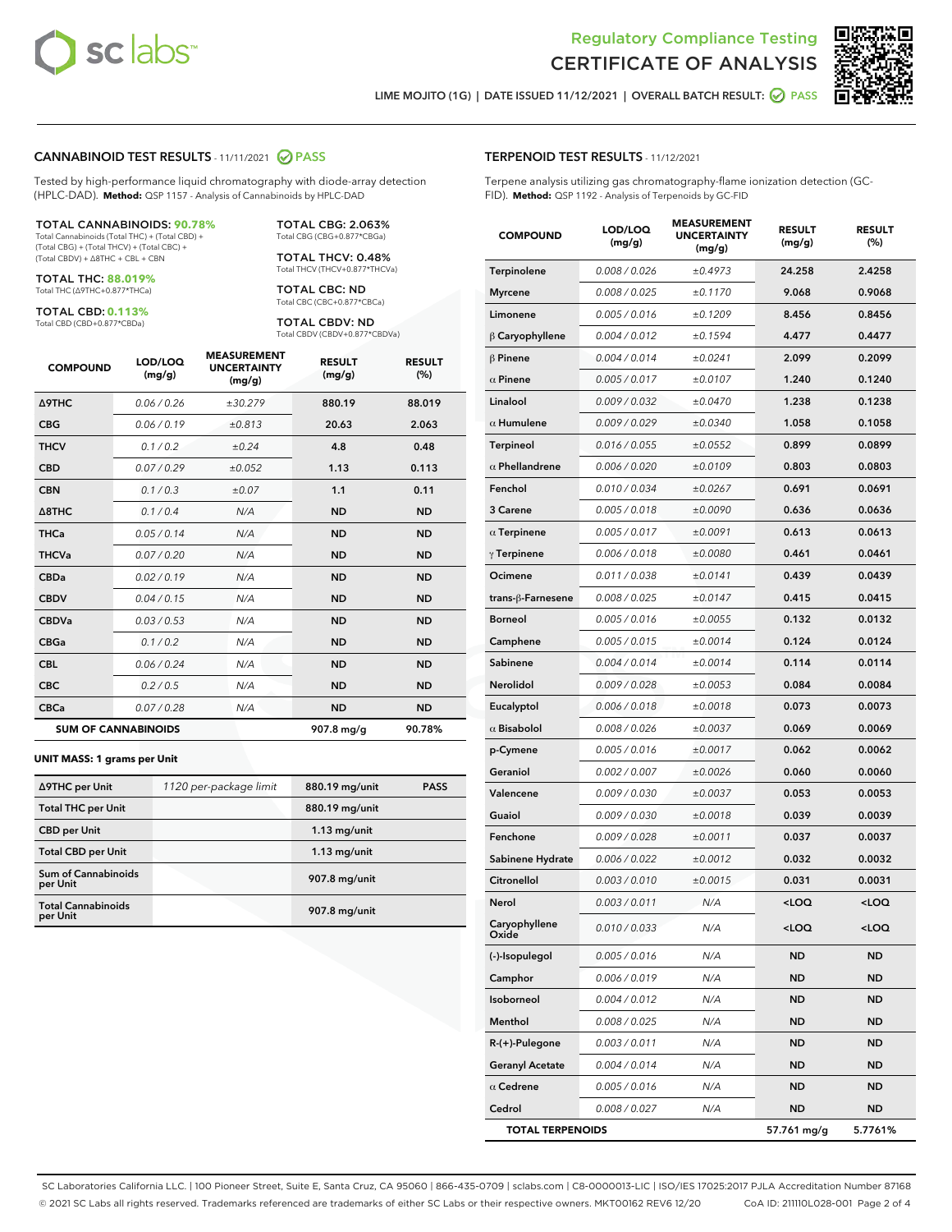



LIME MOJITO (1G) | DATE ISSUED 11/12/2021 | OVERALL BATCH RESULT: O PASS

### CANNABINOID TEST RESULTS - 11/11/2021 2 PASS

Tested by high-performance liquid chromatography with diode-array detection (HPLC-DAD). **Method:** QSP 1157 - Analysis of Cannabinoids by HPLC-DAD

#### TOTAL CANNABINOIDS: **90.78%**

Total Cannabinoids (Total THC) + (Total CBD) + (Total CBG) + (Total THCV) + (Total CBC) + (Total CBDV) + ∆8THC + CBL + CBN

TOTAL THC: **88.019%** Total THC (∆9THC+0.877\*THCa)

TOTAL CBD: **0.113%**

Total CBD (CBD+0.877\*CBDa)

TOTAL CBG: 2.063% Total CBG (CBG+0.877\*CBGa)

TOTAL THCV: 0.48% Total THCV (THCV+0.877\*THCVa)

TOTAL CBC: ND Total CBC (CBC+0.877\*CBCa)

TOTAL CBDV: ND Total CBDV (CBDV+0.877\*CBDVa)

| <b>COMPOUND</b>  | LOD/LOQ<br>(mg/g)          | <b>MEASUREMENT</b><br><b>UNCERTAINTY</b><br>(mg/g) | <b>RESULT</b><br>(mg/g) | <b>RESULT</b><br>(%) |
|------------------|----------------------------|----------------------------------------------------|-------------------------|----------------------|
| <b>A9THC</b>     | 0.06/0.26                  | ±30.279                                            | 880.19                  | 88.019               |
| <b>CBG</b>       | 0.06/0.19                  | ±0.813                                             | 20.63                   | 2.063                |
| <b>THCV</b>      | 0.1/0.2                    | ±0.24                                              | 4.8                     | 0.48                 |
| <b>CBD</b>       | 0.07/0.29                  | ±0.052                                             | 1.13                    | 0.113                |
| <b>CBN</b>       | 0.1/0.3                    | ±0.07                                              | 1.1                     | 0.11                 |
| $\triangle$ 8THC | 0.1/0.4                    | N/A                                                | <b>ND</b>               | <b>ND</b>            |
| <b>THCa</b>      | 0.05/0.14                  | N/A                                                | <b>ND</b>               | <b>ND</b>            |
| <b>THCVa</b>     | 0.07/0.20                  | N/A                                                | <b>ND</b>               | <b>ND</b>            |
| <b>CBDa</b>      | 0.02/0.19                  | N/A                                                | <b>ND</b>               | <b>ND</b>            |
| <b>CBDV</b>      | 0.04/0.15                  | N/A                                                | <b>ND</b>               | <b>ND</b>            |
| <b>CBDVa</b>     | 0.03/0.53                  | N/A                                                | <b>ND</b>               | <b>ND</b>            |
| <b>CBGa</b>      | 0.1 / 0.2                  | N/A                                                | <b>ND</b>               | <b>ND</b>            |
| <b>CBL</b>       | 0.06 / 0.24                | N/A                                                | <b>ND</b>               | <b>ND</b>            |
| <b>CBC</b>       | 0.2 / 0.5                  | N/A                                                | <b>ND</b>               | <b>ND</b>            |
| <b>CBCa</b>      | 0.07/0.28                  | N/A                                                | <b>ND</b>               | <b>ND</b>            |
|                  | <b>SUM OF CANNABINOIDS</b> |                                                    | 907.8 mg/g              | 90.78%               |

#### **UNIT MASS: 1 grams per Unit**

| ∆9THC per Unit                         | 1120 per-package limit | 880.19 mg/unit | <b>PASS</b> |
|----------------------------------------|------------------------|----------------|-------------|
| <b>Total THC per Unit</b>              |                        | 880.19 mg/unit |             |
| <b>CBD</b> per Unit                    |                        | $1.13$ mg/unit |             |
| <b>Total CBD per Unit</b>              |                        | $1.13$ mg/unit |             |
| <b>Sum of Cannabinoids</b><br>per Unit |                        | 907.8 mg/unit  |             |
| <b>Total Cannabinoids</b><br>per Unit  |                        | 907.8 mg/unit  |             |

| <b>COMPOUND</b>         | LOD/LOQ<br>(mg/g) | <b>MEASUREMENT</b><br><b>UNCERTAINTY</b><br>(mg/g) | <b>RESULT</b><br>(mg/g)                         | <b>RESULT</b><br>(%) |
|-------------------------|-------------------|----------------------------------------------------|-------------------------------------------------|----------------------|
| <b>Terpinolene</b>      | 0.008 / 0.026     | ±0.4973                                            | 24.258                                          | 2.4258               |
| <b>Myrcene</b>          | 0.008 / 0.025     | ±0.1170                                            | 9.068                                           | 0.9068               |
| Limonene                | 0.005 / 0.016     | ±0.1209                                            | 8.456                                           | 0.8456               |
| $\beta$ Caryophyllene   | 0.004 / 0.012     | ±0.1594                                            | 4.477                                           | 0.4477               |
| $\beta$ Pinene          | 0.004 / 0.014     | ±0.0241                                            | 2.099                                           | 0.2099               |
| $\alpha$ Pinene         | 0.005 / 0.017     | ±0.0107                                            | 1.240                                           | 0.1240               |
| Linalool                | 0.009 / 0.032     | ±0.0470                                            | 1.238                                           | 0.1238               |
| $\alpha$ Humulene       | 0.009 / 0.029     | ±0.0340                                            | 1.058                                           | 0.1058               |
| Terpineol               | 0.016 / 0.055     | ±0.0552                                            | 0.899                                           | 0.0899               |
| $\alpha$ Phellandrene   | 0.006 / 0.020     | ±0.0109                                            | 0.803                                           | 0.0803               |
| Fenchol                 | 0.010 / 0.034     | ±0.0267                                            | 0.691                                           | 0.0691               |
| 3 Carene                | 0.005 / 0.018     | ±0.0090                                            | 0.636                                           | 0.0636               |
| $\alpha$ Terpinene      | 0.005 / 0.017     | ±0.0091                                            | 0.613                                           | 0.0613               |
| $\gamma$ Terpinene      | 0.006 / 0.018     | ±0.0080                                            | 0.461                                           | 0.0461               |
| Ocimene                 | 0.011 / 0.038     | ±0.0141                                            | 0.439                                           | 0.0439               |
| trans-ß-Farnesene       | 0.008 / 0.025     | ±0.0147                                            | 0.415                                           | 0.0415               |
| <b>Borneol</b>          | 0.005 / 0.016     | ±0.0055                                            | 0.132                                           | 0.0132               |
| Camphene                | 0.005 / 0.015     | ±0.0014                                            | 0.124                                           | 0.0124               |
| Sabinene                | 0.004 / 0.014     | ±0.0014                                            | 0.114                                           | 0.0114               |
| Nerolidol               | 0.009 / 0.028     | ±0.0053                                            | 0.084                                           | 0.0084               |
| Eucalyptol              | 0.006 / 0.018     | ±0.0018                                            | 0.073                                           | 0.0073               |
| $\alpha$ Bisabolol      | 0.008 / 0.026     | ±0.0037                                            | 0.069                                           | 0.0069               |
| p-Cymene                | 0.005 / 0.016     | ±0.0017                                            | 0.062                                           | 0.0062               |
| Geraniol                | 0.002 / 0.007     | ±0.0026                                            | 0.060                                           | 0.0060               |
| Valencene               | 0.009 / 0.030     | ±0.0037                                            | 0.053                                           | 0.0053               |
| Guaiol                  | 0.009 / 0.030     | ±0.0018                                            | 0.039                                           | 0.0039               |
| Fenchone                | 0.009 / 0.028     | ±0.0011                                            | 0.037                                           | 0.0037               |
| Sabinene Hydrate        | 0.006 / 0.022     | ±0.0012                                            | 0.032                                           | 0.0032               |
| Citronellol             | 0.003 / 0.010     | ±0.0015                                            | 0.031                                           | 0.0031               |
| Nerol                   | 0.003 / 0.011     | N/A                                                | <loq< th=""><th><loq< th=""></loq<></th></loq<> | <loq< th=""></loq<>  |
| Caryophyllene<br>Oxide  | 0.010 / 0.033     | N/A                                                | <loq< th=""><th><loq< th=""></loq<></th></loq<> | <loq< th=""></loq<>  |
| (-)-Isopulegol          | 0.005 / 0.016     | N/A                                                | ND                                              | ND                   |
| Camphor                 | 0.006 / 0.019     | N/A                                                | ND                                              | ND                   |
| Isoborneol              | 0.004 / 0.012     | N/A                                                | ND                                              | ND                   |
| Menthol                 | 0.008 / 0.025     | N/A                                                | ND                                              | ND                   |
| R-(+)-Pulegone          | 0.003 / 0.011     | N/A                                                | ND                                              | ND                   |
| <b>Geranyl Acetate</b>  | 0.004 / 0.014     | N/A                                                | ND                                              | ND                   |
| $\alpha$ Cedrene        | 0.005 / 0.016     | N/A                                                | ND                                              | ND                   |
| Cedrol                  | 0.008 / 0.027     | N/A                                                | ND                                              | ND                   |
| <b>TOTAL TERPENOIDS</b> |                   |                                                    | 57.761 mg/g                                     | 5.7761%              |

SC Laboratories California LLC. | 100 Pioneer Street, Suite E, Santa Cruz, CA 95060 | 866-435-0709 | sclabs.com | C8-0000013-LIC | ISO/IES 17025:2017 PJLA Accreditation Number 87168 © 2021 SC Labs all rights reserved. Trademarks referenced are trademarks of either SC Labs or their respective owners. MKT00162 REV6 12/20 CoA ID: 211110L028-001 Page 2 of 4

# TERPENOID TEST RESULTS - 11/12/2021

Terpene analysis utilizing gas chromatography-flame ionization detection (GC-FID). **Method:** QSP 1192 - Analysis of Terpenoids by GC-FID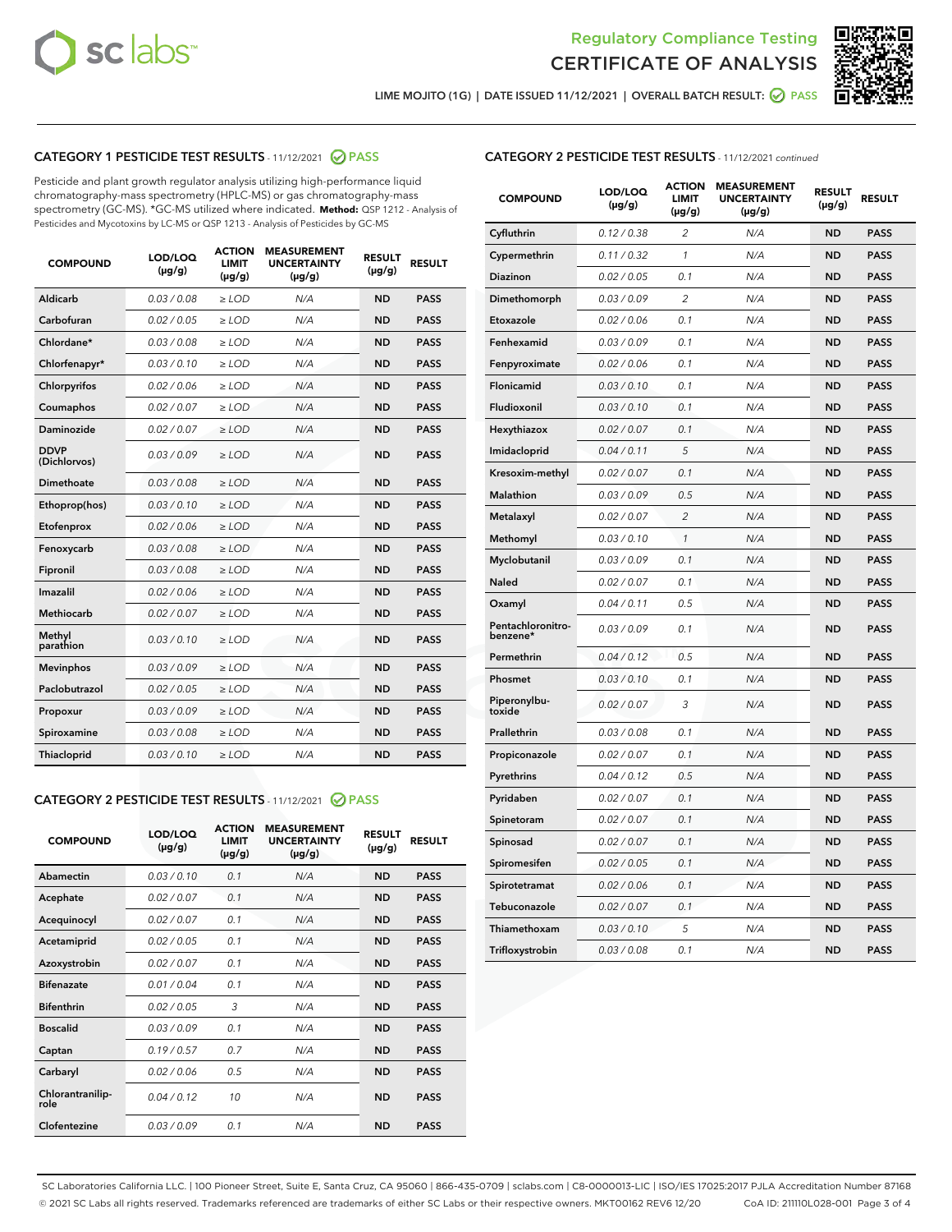



LIME MOJITO (1G) | DATE ISSUED 11/12/2021 | OVERALL BATCH RESULT: ● PASS

# CATEGORY 1 PESTICIDE TEST RESULTS - 11/12/2021 @ PASS

Pesticide and plant growth regulator analysis utilizing high-performance liquid chromatography-mass spectrometry (HPLC-MS) or gas chromatography-mass spectrometry (GC-MS). \*GC-MS utilized where indicated. **Method:** QSP 1212 - Analysis of Pesticides and Mycotoxins by LC-MS or QSP 1213 - Analysis of Pesticides by GC-MS

| <b>COMPOUND</b>             | LOD/LOQ<br>$(\mu g/g)$ | <b>ACTION</b><br>LIMIT<br>$(\mu g/g)$ | <b>MEASUREMENT</b><br><b>UNCERTAINTY</b><br>$(\mu g/g)$ | <b>RESULT</b><br>$(\mu g/g)$ | <b>RESULT</b> |
|-----------------------------|------------------------|---------------------------------------|---------------------------------------------------------|------------------------------|---------------|
| Aldicarb                    | 0.03 / 0.08            | $\geq$ LOD                            | N/A                                                     | <b>ND</b>                    | <b>PASS</b>   |
| Carbofuran                  | 0.02 / 0.05            | $>$ LOD                               | N/A                                                     | <b>ND</b>                    | <b>PASS</b>   |
| Chlordane*                  | 0.03 / 0.08            | ≥ LOD                                 | N/A                                                     | <b>ND</b>                    | <b>PASS</b>   |
| Chlorfenapyr*               | 0.03/0.10              | ≥ LOD                                 | N/A                                                     | <b>ND</b>                    | <b>PASS</b>   |
| Chlorpyrifos                | 0.02 / 0.06            | $\geq$ LOD                            | N/A                                                     | <b>ND</b>                    | <b>PASS</b>   |
| Coumaphos                   | 0.02 / 0.07            | ≥ LOD                                 | N/A                                                     | <b>ND</b>                    | <b>PASS</b>   |
| Daminozide                  | 0.02 / 0.07            | $\geq$ LOD                            | N/A                                                     | <b>ND</b>                    | <b>PASS</b>   |
| <b>DDVP</b><br>(Dichlorvos) | 0.03/0.09              | $\geq$ LOD                            | N/A                                                     | <b>ND</b>                    | <b>PASS</b>   |
| Dimethoate                  | 0.03 / 0.08            | $\ge$ LOD                             | N/A                                                     | <b>ND</b>                    | <b>PASS</b>   |
| Ethoprop(hos)               | 0.03/0.10              | $>$ LOD                               | N/A                                                     | <b>ND</b>                    | <b>PASS</b>   |
| Etofenprox                  | 0.02 / 0.06            | $>$ LOD                               | N/A                                                     | <b>ND</b>                    | <b>PASS</b>   |
| Fenoxycarb                  | 0.03/0.08              | $\geq$ LOD                            | N/A                                                     | <b>ND</b>                    | <b>PASS</b>   |
| Fipronil                    | 0.03/0.08              | $\geq$ LOD                            | N/A                                                     | <b>ND</b>                    | <b>PASS</b>   |
| Imazalil                    | 0.02 / 0.06            | $\geq$ LOD                            | N/A                                                     | <b>ND</b>                    | <b>PASS</b>   |
| <b>Methiocarb</b>           | 0.02 / 0.07            | ≥ LOD                                 | N/A                                                     | <b>ND</b>                    | <b>PASS</b>   |
| Methyl<br>parathion         | 0.03/0.10              | $\geq$ LOD                            | N/A                                                     | <b>ND</b>                    | <b>PASS</b>   |
| <b>Mevinphos</b>            | 0.03/0.09              | $\geq$ LOD                            | N/A                                                     | <b>ND</b>                    | <b>PASS</b>   |
| Paclobutrazol               | 0.02 / 0.05            | $\geq$ LOD                            | N/A                                                     | <b>ND</b>                    | <b>PASS</b>   |
| Propoxur                    | 0.03/0.09              | ≥ LOD                                 | N/A                                                     | <b>ND</b>                    | <b>PASS</b>   |
| Spiroxamine                 | 0.03 / 0.08            | $\ge$ LOD                             | N/A                                                     | <b>ND</b>                    | <b>PASS</b>   |
| <b>Thiacloprid</b>          | 0.03/0.10              | $\geq$ LOD                            | N/A                                                     | <b>ND</b>                    | <b>PASS</b>   |
|                             |                        |                                       |                                                         |                              |               |

# CATEGORY 2 PESTICIDE TEST RESULTS - 11/12/2021 @ PASS

| <b>COMPOUND</b>          | LOD/LOO<br>$(\mu g/g)$ | <b>ACTION</b><br>LIMIT<br>$(\mu g/g)$ | <b>MEASUREMENT</b><br><b>UNCERTAINTY</b><br>$(\mu g/g)$ | <b>RESULT</b><br>$(\mu g/g)$ | <b>RESULT</b> |  |
|--------------------------|------------------------|---------------------------------------|---------------------------------------------------------|------------------------------|---------------|--|
| Abamectin                | 0.03/0.10              | 0.1                                   | N/A                                                     | <b>ND</b>                    | <b>PASS</b>   |  |
| Acephate                 | 0.02/0.07              | 0.1                                   | N/A                                                     | <b>ND</b>                    | <b>PASS</b>   |  |
| Acequinocyl              | 0.02/0.07              | 0.1                                   | N/A                                                     | <b>ND</b>                    | <b>PASS</b>   |  |
| Acetamiprid              | 0.02/0.05              | 0.1                                   | N/A                                                     | <b>ND</b>                    | <b>PASS</b>   |  |
| Azoxystrobin             | 0.02/0.07              | 0.1                                   | N/A                                                     | <b>ND</b>                    | <b>PASS</b>   |  |
| <b>Bifenazate</b>        | 0.01/0.04              | 0.1                                   | N/A                                                     | <b>ND</b>                    | <b>PASS</b>   |  |
| <b>Bifenthrin</b>        | 0.02/0.05              | 3                                     | N/A                                                     | <b>ND</b>                    | <b>PASS</b>   |  |
| <b>Boscalid</b>          | 0.03/0.09              | 0.1                                   | N/A                                                     | <b>ND</b>                    | <b>PASS</b>   |  |
| Captan                   | 0.19/0.57              | 0.7                                   | N/A                                                     | <b>ND</b>                    | <b>PASS</b>   |  |
| Carbaryl                 | 0.02/0.06              | 0.5                                   | N/A                                                     | <b>ND</b>                    | <b>PASS</b>   |  |
| Chlorantranilip-<br>role | 0.04/0.12              | 10                                    | N/A                                                     | <b>ND</b>                    | <b>PASS</b>   |  |
| Clofentezine             | 0.03/0.09              | 0.1                                   | N/A                                                     | <b>ND</b>                    | <b>PASS</b>   |  |

# CATEGORY 2 PESTICIDE TEST RESULTS - 11/12/2021 continued

| <b>COMPOUND</b>               | LOD/LOQ<br>(µg/g) | <b>ACTION</b><br><b>LIMIT</b><br>$(\mu g/g)$ | <b>MEASUREMENT</b><br><b>UNCERTAINTY</b><br>$(\mu g/g)$ | <b>RESULT</b><br>(µg/g) | <b>RESULT</b> |
|-------------------------------|-------------------|----------------------------------------------|---------------------------------------------------------|-------------------------|---------------|
| Cyfluthrin                    | 0.12 / 0.38       | $\overline{c}$                               | N/A                                                     | ND                      | <b>PASS</b>   |
| Cypermethrin                  | 0.11 / 0.32       | $\mathcal{I}$                                | N/A                                                     | ND                      | <b>PASS</b>   |
| <b>Diazinon</b>               | 0.02 / 0.05       | 0.1                                          | N/A                                                     | <b>ND</b>               | <b>PASS</b>   |
| Dimethomorph                  | 0.03 / 0.09       | 2                                            | N/A                                                     | ND                      | <b>PASS</b>   |
| Etoxazole                     | 0.02 / 0.06       | 0.1                                          | N/A                                                     | ND                      | <b>PASS</b>   |
| Fenhexamid                    | 0.03 / 0.09       | 0.1                                          | N/A                                                     | ND                      | <b>PASS</b>   |
| Fenpyroximate                 | 0.02 / 0.06       | 0.1                                          | N/A                                                     | <b>ND</b>               | <b>PASS</b>   |
| Flonicamid                    | 0.03 / 0.10       | 0.1                                          | N/A                                                     | ND                      | <b>PASS</b>   |
| Fludioxonil                   | 0.03 / 0.10       | 0.1                                          | N/A                                                     | ND                      | <b>PASS</b>   |
| Hexythiazox                   | 0.02 / 0.07       | 0.1                                          | N/A                                                     | ND                      | <b>PASS</b>   |
| Imidacloprid                  | 0.04 / 0.11       | 5                                            | N/A                                                     | ND                      | <b>PASS</b>   |
| Kresoxim-methyl               | 0.02 / 0.07       | 0.1                                          | N/A                                                     | ND                      | <b>PASS</b>   |
| Malathion                     | 0.03 / 0.09       | 0.5                                          | N/A                                                     | ND                      | <b>PASS</b>   |
| Metalaxyl                     | 0.02 / 0.07       | $\overline{c}$                               | N/A                                                     | ND                      | <b>PASS</b>   |
| Methomyl                      | 0.03 / 0.10       | $\mathbf{1}$                                 | N/A                                                     | ND                      | <b>PASS</b>   |
| Myclobutanil                  | 0.03 / 0.09       | 0.1                                          | N/A                                                     | <b>ND</b>               | <b>PASS</b>   |
| Naled                         | 0.02 / 0.07       | 0.1                                          | N/A                                                     | ND                      | <b>PASS</b>   |
| Oxamyl                        | 0.04 / 0.11       | 0.5                                          | N/A                                                     | ND                      | PASS          |
| Pentachloronitro-<br>benzene* | 0.03 / 0.09       | 0.1                                          | N/A                                                     | ND                      | <b>PASS</b>   |
| Permethrin                    | 0.04 / 0.12       | 0.5                                          | N/A                                                     | ND                      | <b>PASS</b>   |
| Phosmet                       | 0.03 / 0.10       | 0.1                                          | N/A                                                     | ND                      | <b>PASS</b>   |
| Piperonylbu-<br>toxide        | 0.02 / 0.07       | 3                                            | N/A                                                     | <b>ND</b>               | <b>PASS</b>   |
| Prallethrin                   | 0.03 / 0.08       | 0.1                                          | N/A                                                     | ND                      | <b>PASS</b>   |
| Propiconazole                 | 0.02 / 0.07       | 0.1                                          | N/A                                                     | <b>ND</b>               | <b>PASS</b>   |
| Pyrethrins                    | 0.04 / 0.12       | 0.5                                          | N/A                                                     | ND                      | <b>PASS</b>   |
| Pyridaben                     | 0.02 / 0.07       | 0.1                                          | N/A                                                     | <b>ND</b>               | <b>PASS</b>   |
| Spinetoram                    | 0.02 / 0.07       | 0.1                                          | N/A                                                     | ND                      | <b>PASS</b>   |
| Spinosad                      | 0.02 / 0.07       | 0.1                                          | N/A                                                     | ND                      | <b>PASS</b>   |
| Spiromesifen                  | 0.02 / 0.05       | 0.1                                          | N/A                                                     | <b>ND</b>               | <b>PASS</b>   |
| Spirotetramat                 | 0.02 / 0.06       | 0.1                                          | N/A                                                     | ND                      | <b>PASS</b>   |
| Tebuconazole                  | 0.02 / 0.07       | 0.1                                          | N/A                                                     | ND                      | <b>PASS</b>   |
| Thiamethoxam                  | 0.03 / 0.10       | 5                                            | N/A                                                     | <b>ND</b>               | <b>PASS</b>   |
| Trifloxystrobin               | 0.03 / 0.08       | 0.1                                          | N/A                                                     | <b>ND</b>               | <b>PASS</b>   |

SC Laboratories California LLC. | 100 Pioneer Street, Suite E, Santa Cruz, CA 95060 | 866-435-0709 | sclabs.com | C8-0000013-LIC | ISO/IES 17025:2017 PJLA Accreditation Number 87168 © 2021 SC Labs all rights reserved. Trademarks referenced are trademarks of either SC Labs or their respective owners. MKT00162 REV6 12/20 CoA ID: 211110L028-001 Page 3 of 4